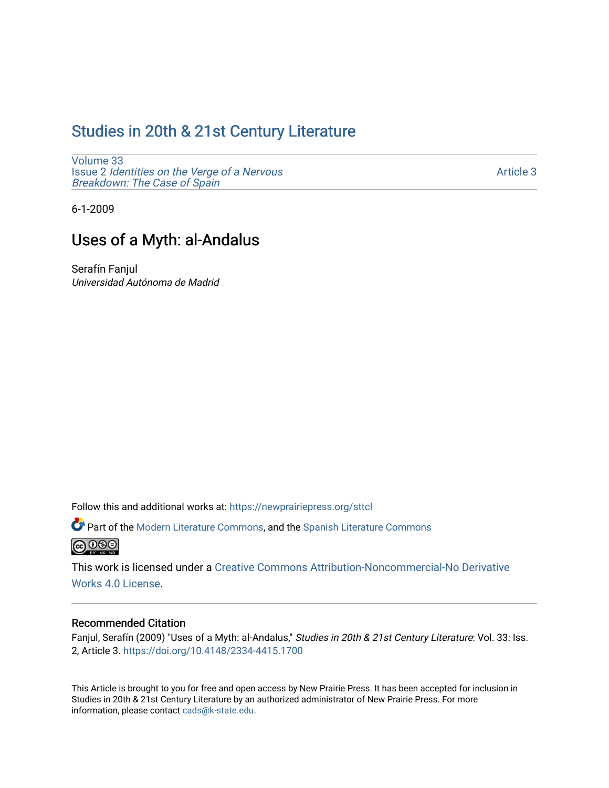# [Studies in 20th & 21st Century Literature](https://newprairiepress.org/sttcl)

[Volume 33](https://newprairiepress.org/sttcl/vol33) Issue 2 [Identities on the Verge of a Nervous](https://newprairiepress.org/sttcl/vol33/iss2) [Breakdown: The Case of Spain](https://newprairiepress.org/sttcl/vol33/iss2) 

[Article 3](https://newprairiepress.org/sttcl/vol33/iss2/3) 

6-1-2009

# Uses of a Myth: al-Andalus

Serafín Fanjul Universidad Autónoma de Madrid

Follow this and additional works at: [https://newprairiepress.org/sttcl](https://newprairiepress.org/sttcl?utm_source=newprairiepress.org%2Fsttcl%2Fvol33%2Fiss2%2F3&utm_medium=PDF&utm_campaign=PDFCoverPages) 

Part of the [Modern Literature Commons,](http://network.bepress.com/hgg/discipline/1050?utm_source=newprairiepress.org%2Fsttcl%2Fvol33%2Fiss2%2F3&utm_medium=PDF&utm_campaign=PDFCoverPages) and the Spanish Literature Commons **@** 00

This work is licensed under a [Creative Commons Attribution-Noncommercial-No Derivative](https://creativecommons.org/licenses/by-nc-nd/4.0/)  [Works 4.0 License](https://creativecommons.org/licenses/by-nc-nd/4.0/).

## Recommended Citation

Fanjul, Serafín (2009) "Uses of a Myth: al-Andalus," Studies in 20th & 21st Century Literature: Vol. 33: Iss. 2, Article 3.<https://doi.org/10.4148/2334-4415.1700>

This Article is brought to you for free and open access by New Prairie Press. It has been accepted for inclusion in Studies in 20th & 21st Century Literature by an authorized administrator of New Prairie Press. For more information, please contact [cads@k-state.edu](mailto:cads@k-state.edu).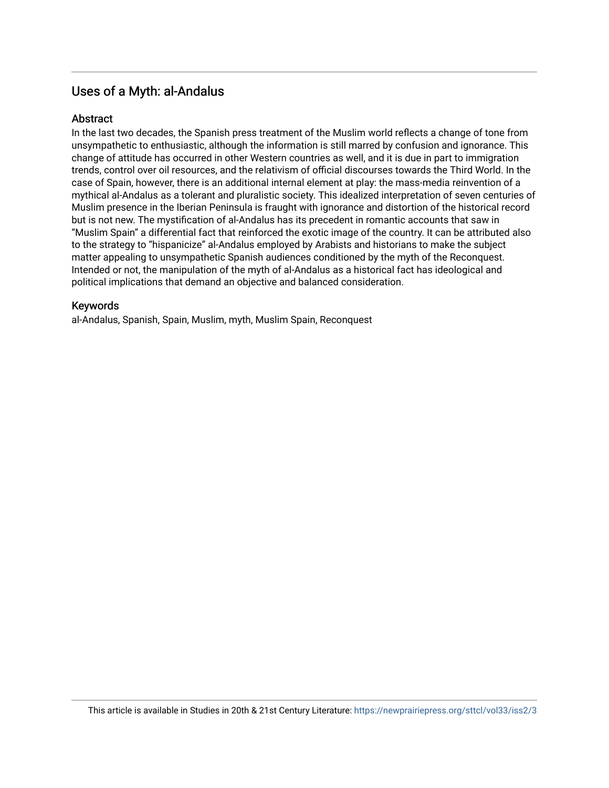## Uses of a Myth: al-Andalus

## **Abstract**

In the last two decades, the Spanish press treatment of the Muslim world reflects a change of tone from unsympathetic to enthusiastic, although the information is still marred by confusion and ignorance. This change of attitude has occurred in other Western countries as well, and it is due in part to immigration trends, control over oil resources, and the relativism of official discourses towards the Third World. In the case of Spain, however, there is an additional internal element at play: the mass-media reinvention of a mythical al-Andalus as a tolerant and pluralistic society. This idealized interpretation of seven centuries of Muslim presence in the Iberian Peninsula is fraught with ignorance and distortion of the historical record but is not new. The mystification of al-Andalus has its precedent in romantic accounts that saw in "Muslim Spain" a differential fact that reinforced the exotic image of the country. It can be attributed also to the strategy to "hispanicize" al-Andalus employed by Arabists and historians to make the subject matter appealing to unsympathetic Spanish audiences conditioned by the myth of the Reconquest. Intended or not, the manipulation of the myth of al-Andalus as a historical fact has ideological and political implications that demand an objective and balanced consideration.

## Keywords

al-Andalus, Spanish, Spain, Muslim, myth, Muslim Spain, Reconquest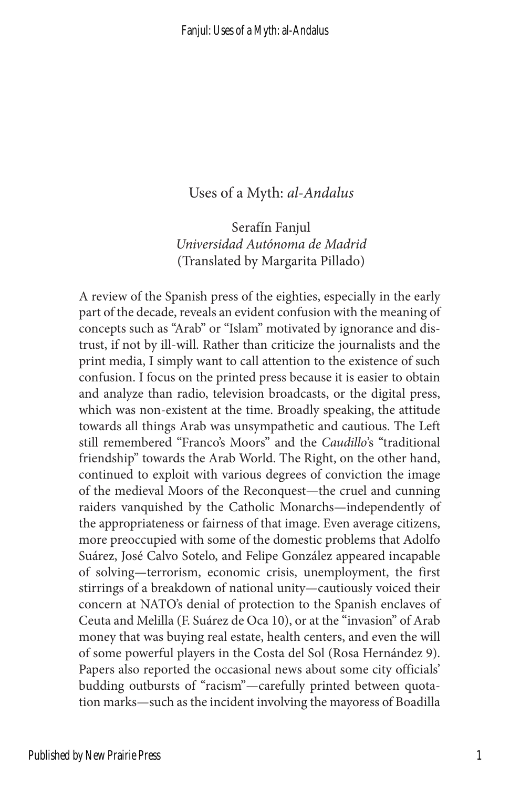### Uses of a Myth: *al-Andalus*

Serafín Fanjul *Universidad Autónoma de Madrid* (Translated by Margarita Pillado)

A review of the Spanish press of the eighties, especially in the early part of the decade, reveals an evident confusion with the meaning of concepts such as "Arab" or "Islam" motivated by ignorance and distrust, if not by ill-will. Rather than criticize the journalists and the print media, I simply want to call attention to the existence of such confusion. I focus on the printed press because it is easier to obtain and analyze than radio, television broadcasts, or the digital press, which was non-existent at the time. Broadly speaking, the attitude towards all things Arab was unsympathetic and cautious. The Left still remembered "Franco's Moors" and the *Caudillo*'s "traditional friendship" towards the Arab World. The Right, on the other hand, continued to exploit with various degrees of conviction the image of the medieval Moors of the Reconquest—the cruel and cunning raiders vanquished by the Catholic Monarchs—independently of the appropriateness or fairness of that image. Even average citizens, more preoccupied with some of the domestic problems that Adolfo Suárez, José Calvo Sotelo, and Felipe González appeared incapable of solving—terrorism, economic crisis, unemployment, the first stirrings of a breakdown of national unity—cautiously voiced their concern at NATO's denial of protection to the Spanish enclaves of Ceuta and Melilla (F. Suárez de Oca 10), or at the "invasion" of Arab money that was buying real estate, health centers, and even the will of some powerful players in the Costa del Sol (Rosa Hernández 9). Papers also reported the occasional news about some city officials' budding outbursts of "racism"—carefully printed between quotation marks—such as the incident involving the mayoress of Boadilla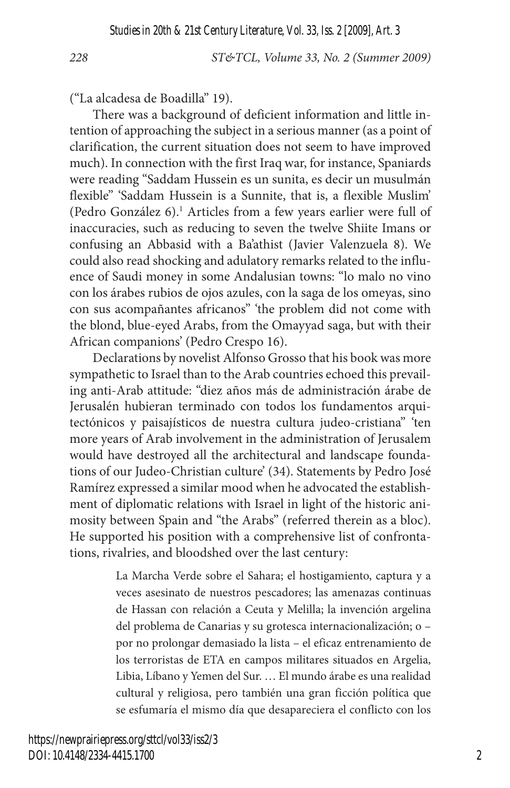("La alcadesa de Boadilla" 19).

There was a background of deficient information and little intention of approaching the subject in a serious manner (as a point of clarification, the current situation does not seem to have improved much). In connection with the first Iraq war, for instance, Spaniards were reading "Saddam Hussein es un sunita, es decir un musulmán flexible" 'Saddam Hussein is a Sunnite, that is, a flexible Muslim' (Pedro González 6).<sup>1</sup> Articles from a few years earlier were full of inaccuracies, such as reducing to seven the twelve Shiite Imans or confusing an Abbasid with a Ba'athist (Javier Valenzuela 8). We could also read shocking and adulatory remarks related to the influence of Saudi money in some Andalusian towns: "lo malo no vino con los árabes rubios de ojos azules, con la saga de los omeyas, sino con sus acompañantes africanos" 'the problem did not come with the blond, blue-eyed Arabs, from the Omayyad saga, but with their African companions' (Pedro Crespo 16).

Declarations by novelist Alfonso Grosso that his book was more sympathetic to Israel than to the Arab countries echoed this prevailing anti-Arab attitude: "diez años más de administración árabe de Jerusalén hubieran terminado con todos los fundamentos arquitectónicos y paisajísticos de nuestra cultura judeo-cristiana" 'ten more years of Arab involvement in the administration of Jerusalem would have destroyed all the architectural and landscape foundations of our Judeo-Christian culture' (34). Statements by Pedro José Ramírez expressed a similar mood when he advocated the establishment of diplomatic relations with Israel in light of the historic animosity between Spain and "the Arabs" (referred therein as a bloc). He supported his position with a comprehensive list of confrontations, rivalries, and bloodshed over the last century:

> La Marcha Verde sobre el Sahara; el hostigamiento, captura y a veces asesinato de nuestros pescadores; las amenazas continuas de Hassan con relación a Ceuta y Melilla; la invención argelina del problema de Canarias y su grotesca internacionalización; o – por no prolongar demasiado la lista – el eficaz entrenamiento de los terroristas de ETA en campos militares situados en Argelia, Libia, Líbano y Yemen del Sur. … El mundo árabe es una realidad cultural y religiosa, pero también una gran ficción política que se esfumaría el mismo día que desapareciera el conflicto con los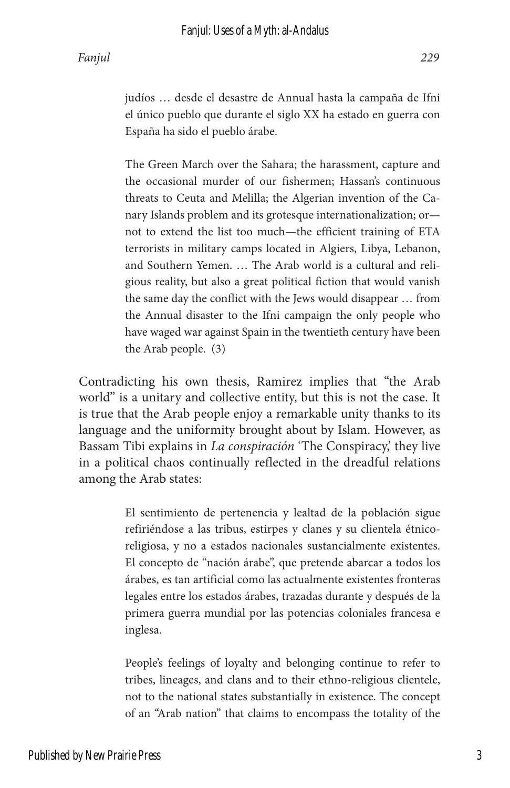The Green March over the Sahara; the harassment, capture and the occasional murder of our fishermen; Hassan's continuous threats to Ceuta and Melilla; the Algerian invention of the Canary Islands problem and its grotesque internationalization; or not to extend the list too much—the efficient training of ETA terrorists in military camps located in Algiers, Libya, Lebanon, and Southern Yemen. … The Arab world is a cultural and religious reality, but also a great political fiction that would vanish the same day the conflict with the Jews would disappear … from the Annual disaster to the Ifni campaign the only people who have waged war against Spain in the twentieth century have been the Arab people. (3)

Contradicting his own thesis, Ramirez implies that "the Arab world" is a unitary and collective entity, but this is not the case. It is true that the Arab people enjoy a remarkable unity thanks to its language and the uniformity brought about by Islam. However, as Bassam Tibi explains in *La conspiración* 'The Conspiracy,' they live in a political chaos continually reflected in the dreadful relations among the Arab states:

> El sentimiento de pertenencia y lealtad de la población sigue refiriéndose a las tribus, estirpes y clanes y su clientela étnicoreligiosa, y no a estados nacionales sustancialmente existentes. El concepto de "nación árabe", que pretende abarcar a todos los árabes, es tan artificial como las actualmente existentes fronteras legales entre los estados árabes, trazadas durante y después de la primera guerra mundial por las potencias coloniales francesa e inglesa.

> People's feelings of loyalty and belonging continue to refer to tribes, lineages, and clans and to their ethno-religious clientele, not to the national states substantially in existence. The concept of an "Arab nation" that claims to encompass the totality of the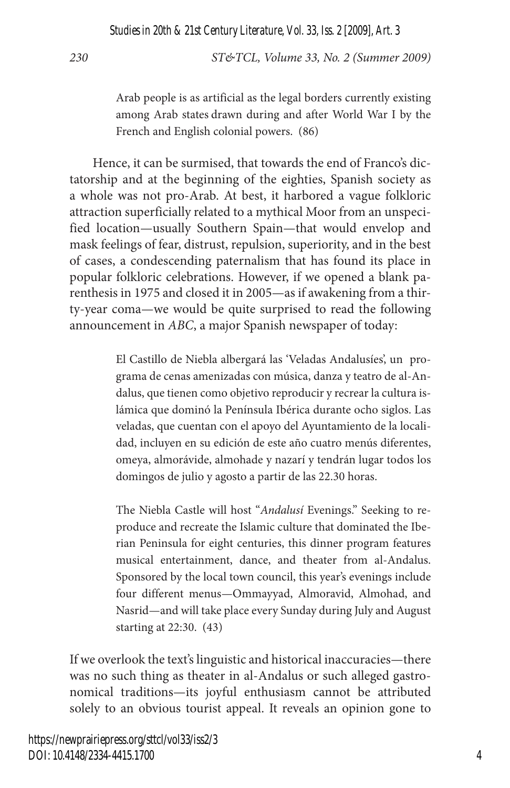*Studies in 20th & 21st Century Literature, Vol. 33, Iss. 2 [2009], Art. 3*

*230 ST&TCL, Volume 33, No. 2 (Summer 2009)*

Arab people is as artificial as the legal borders currently existing among Arab states drawn during and after World War I by the French and English colonial powers. (86)

Hence, it can be surmised, that towards the end of Franco's dictatorship and at the beginning of the eighties, Spanish society as a whole was not pro-Arab. At best, it harbored a vague folkloric attraction superficially related to a mythical Moor from an unspecified location—usually Southern Spain—that would envelop and mask feelings of fear, distrust, repulsion, superiority, and in the best of cases, a condescending paternalism that has found its place in popular folkloric celebrations. However, if we opened a blank parenthesis in 1975 and closed it in 2005—as if awakening from a thirty-year coma—we would be quite surprised to read the following announcement in *ABC*, a major Spanish newspaper of today:

> El Castillo de Niebla albergará las 'Veladas Andalusíes', un programa de cenas amenizadas con música, danza y teatro de al-Andalus, que tienen como objetivo reproducir y recrear la cultura islámica que dominó la Península Ibérica durante ocho siglos. Las veladas, que cuentan con el apoyo del Ayuntamiento de la localidad, incluyen en su edición de este año cuatro menús diferentes, omeya, almorávide, almohade y nazarí y tendrán lugar todos los domingos de julio y agosto a partir de las 22.30 horas.

> The Niebla Castle will host "*Andalusí* Evenings." Seeking to reproduce and recreate the Islamic culture that dominated the Iberian Peninsula for eight centuries, this dinner program features musical entertainment, dance, and theater from al-Andalus. Sponsored by the local town council, this year's evenings include four different menus—Ommayyad, Almoravid, Almohad, and Nasrid—and will take place every Sunday during July and August starting at 22:30. (43)

If we overlook the text's linguistic and historical inaccuracies—there was no such thing as theater in al-Andalus or such alleged gastronomical traditions—its joyful enthusiasm cannot be attributed solely to an obvious tourist appeal. It reveals an opinion gone to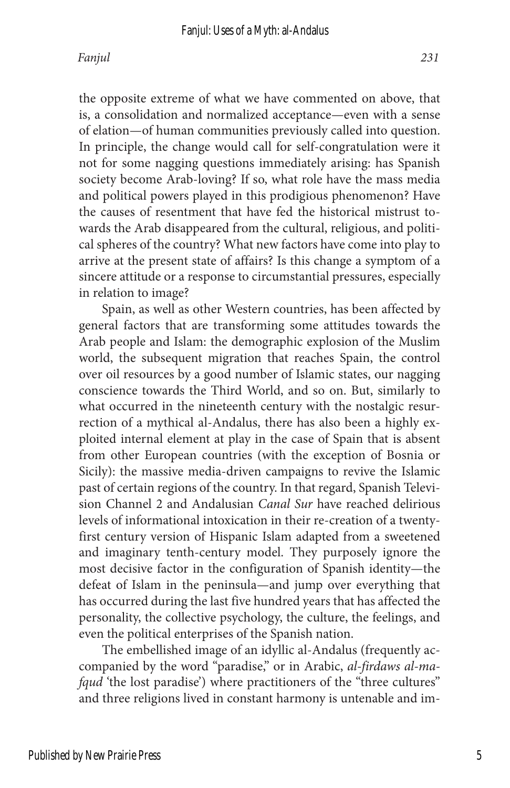the opposite extreme of what we have commented on above, that is, a consolidation and normalized acceptance—even with a sense of elation—of human communities previously called into question. In principle, the change would call for self-congratulation were it not for some nagging questions immediately arising: has Spanish society become Arab-loving? If so, what role have the mass media and political powers played in this prodigious phenomenon? Have the causes of resentment that have fed the historical mistrust towards the Arab disappeared from the cultural, religious, and political spheres of the country? What new factors have come into play to arrive at the present state of affairs? Is this change a symptom of a sincere attitude or a response to circumstantial pressures, especially in relation to image?

Spain, as well as other Western countries, has been affected by general factors that are transforming some attitudes towards the Arab people and Islam: the demographic explosion of the Muslim world, the subsequent migration that reaches Spain, the control over oil resources by a good number of Islamic states, our nagging conscience towards the Third World, and so on. But, similarly to what occurred in the nineteenth century with the nostalgic resurrection of a mythical al-Andalus, there has also been a highly exploited internal element at play in the case of Spain that is absent from other European countries (with the exception of Bosnia or Sicily): the massive media-driven campaigns to revive the Islamic past of certain regions of the country. In that regard, Spanish Television Channel 2 and Andalusian *Canal Sur* have reached delirious levels of informational intoxication in their re-creation of a twentyfirst century version of Hispanic Islam adapted from a sweetened and imaginary tenth-century model. They purposely ignore the most decisive factor in the configuration of Spanish identity—the defeat of Islam in the peninsula—and jump over everything that has occurred during the last five hundred years that has affected the personality, the collective psychology, the culture, the feelings, and even the political enterprises of the Spanish nation.

The embellished image of an idyllic al-Andalus (frequently accompanied by the word "paradise," or in Arabic, *al-firdaws al-mafqud* 'the lost paradise') where practitioners of the "three cultures" and three religions lived in constant harmony is untenable and im-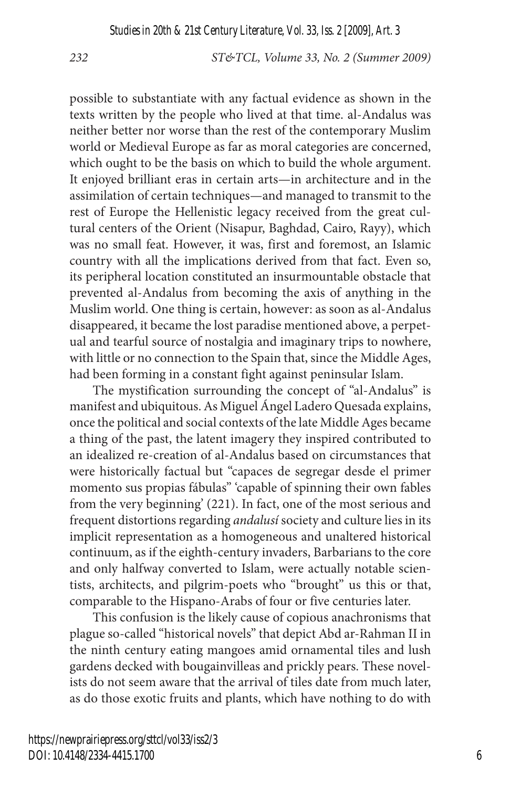possible to substantiate with any factual evidence as shown in the texts written by the people who lived at that time. al-Andalus was neither better nor worse than the rest of the contemporary Muslim world or Medieval Europe as far as moral categories are concerned, which ought to be the basis on which to build the whole argument. It enjoyed brilliant eras in certain arts—in architecture and in the assimilation of certain techniques—and managed to transmit to the rest of Europe the Hellenistic legacy received from the great cultural centers of the Orient (Nisapur, Baghdad, Cairo, Rayy), which was no small feat. However, it was, first and foremost, an Islamic country with all the implications derived from that fact. Even so, its peripheral location constituted an insurmountable obstacle that prevented al-Andalus from becoming the axis of anything in the Muslim world. One thing is certain, however: as soon as al-Andalus disappeared, it became the lost paradise mentioned above, a perpetual and tearful source of nostalgia and imaginary trips to nowhere, with little or no connection to the Spain that, since the Middle Ages, had been forming in a constant fight against peninsular Islam.

The mystification surrounding the concept of "al-Andalus" is manifest and ubiquitous. As Miguel Ángel Ladero Quesada explains, once the political and social contexts of the late Middle Ages became a thing of the past, the latent imagery they inspired contributed to an idealized re-creation of al-Andalus based on circumstances that were historically factual but "capaces de segregar desde el primer momento sus propias fábulas" 'capable of spinning their own fables from the very beginning' (221). In fact, one of the most serious and frequent distortions regarding *andalusí* society and culture lies in its implicit representation as a homogeneous and unaltered historical continuum, as if the eighth-century invaders, Barbarians to the core and only halfway converted to Islam, were actually notable scientists, architects, and pilgrim-poets who "brought" us this or that, comparable to the Hispano-Arabs of four or five centuries later.

This confusion is the likely cause of copious anachronisms that plague so-called "historical novels" that depict Abd ar-Rahman II in the ninth century eating mangoes amid ornamental tiles and lush gardens decked with bougainvilleas and prickly pears. These novelists do not seem aware that the arrival of tiles date from much later, as do those exotic fruits and plants, which have nothing to do with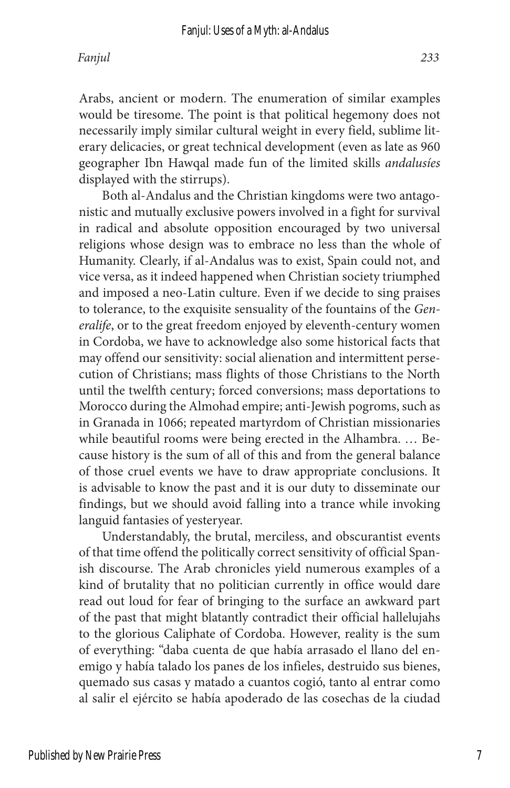Arabs, ancient or modern. The enumeration of similar examples would be tiresome. The point is that political hegemony does not necessarily imply similar cultural weight in every field, sublime literary delicacies, or great technical development (even as late as 960 geographer Ibn Hawqal made fun of the limited skills *andalusíes* displayed with the stirrups).

Both al-Andalus and the Christian kingdoms were two antagonistic and mutually exclusive powers involved in a fight for survival in radical and absolute opposition encouraged by two universal religions whose design was to embrace no less than the whole of Humanity. Clearly, if al-Andalus was to exist, Spain could not, and vice versa, as it indeed happened when Christian society triumphed and imposed a neo-Latin culture. Even if we decide to sing praises to tolerance, to the exquisite sensuality of the fountains of the *Generalife*, or to the great freedom enjoyed by eleventh-century women in Cordoba, we have to acknowledge also some historical facts that may offend our sensitivity: social alienation and intermittent persecution of Christians; mass flights of those Christians to the North until the twelfth century; forced conversions; mass deportations to Morocco during the Almohad empire; anti-Jewish pogroms, such as in Granada in 1066; repeated martyrdom of Christian missionaries while beautiful rooms were being erected in the Alhambra. … Because history is the sum of all of this and from the general balance of those cruel events we have to draw appropriate conclusions. It is advisable to know the past and it is our duty to disseminate our findings, but we should avoid falling into a trance while invoking languid fantasies of yesteryear.

Understandably, the brutal, merciless, and obscurantist events of that time offend the politically correct sensitivity of official Spanish discourse. The Arab chronicles yield numerous examples of a kind of brutality that no politician currently in office would dare read out loud for fear of bringing to the surface an awkward part of the past that might blatantly contradict their official hallelujahs to the glorious Caliphate of Cordoba. However, reality is the sum of everything: "daba cuenta de que había arrasado el llano del enemigo y había talado los panes de los infieles, destruido sus bienes, quemado sus casas y matado a cuantos cogió, tanto al entrar como al salir el ejército se había apoderado de las cosechas de la ciudad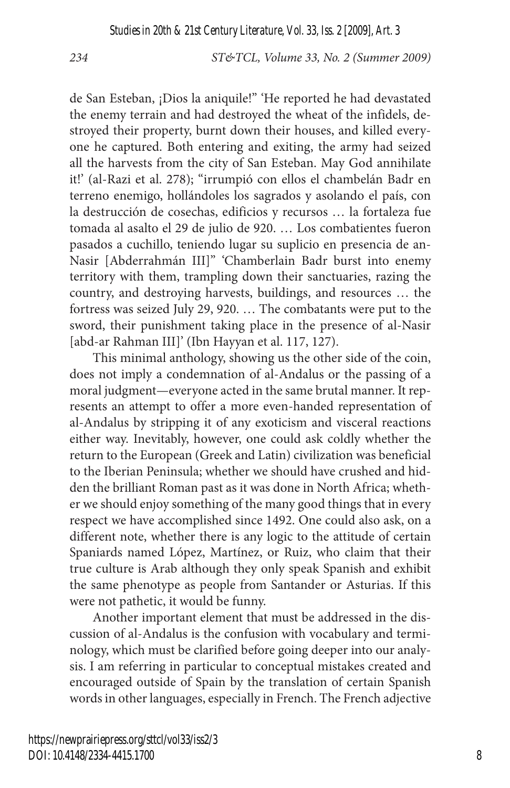de San Esteban, ¡Dios la aniquile!" 'He reported he had devastated the enemy terrain and had destroyed the wheat of the infidels, destroyed their property, burnt down their houses, and killed everyone he captured. Both entering and exiting, the army had seized all the harvests from the city of San Esteban. May God annihilate it!' (al-Razi et al. 278); "irrumpió con ellos el chambelán Badr en terreno enemigo, hollándoles los sagrados y asolando el país, con la destrucción de cosechas, edificios y recursos … la fortaleza fue tomada al asalto el 29 de julio de 920. … Los combatientes fueron pasados a cuchillo, teniendo lugar su suplicio en presencia de an-Nasir [Abderrahmán III]" 'Chamberlain Badr burst into enemy territory with them, trampling down their sanctuaries, razing the country, and destroying harvests, buildings, and resources … the fortress was seized July 29, 920. … The combatants were put to the sword, their punishment taking place in the presence of al-Nasir [abd-ar Rahman III]' (Ibn Hayyan et al. 117, 127).

This minimal anthology, showing us the other side of the coin, does not imply a condemnation of al-Andalus or the passing of a moral judgment—everyone acted in the same brutal manner. It represents an attempt to offer a more even-handed representation of al-Andalus by stripping it of any exoticism and visceral reactions either way. Inevitably, however, one could ask coldly whether the return to the European (Greek and Latin) civilization was beneficial to the Iberian Peninsula; whether we should have crushed and hidden the brilliant Roman past as it was done in North Africa; whether we should enjoy something of the many good things that in every respect we have accomplished since 1492. One could also ask, on a different note, whether there is any logic to the attitude of certain Spaniards named López, Martínez, or Ruiz, who claim that their true culture is Arab although they only speak Spanish and exhibit the same phenotype as people from Santander or Asturias. If this were not pathetic, it would be funny.

Another important element that must be addressed in the discussion of al-Andalus is the confusion with vocabulary and terminology, which must be clarified before going deeper into our analysis. I am referring in particular to conceptual mistakes created and encouraged outside of Spain by the translation of certain Spanish words in other languages, especially in French. The French adjective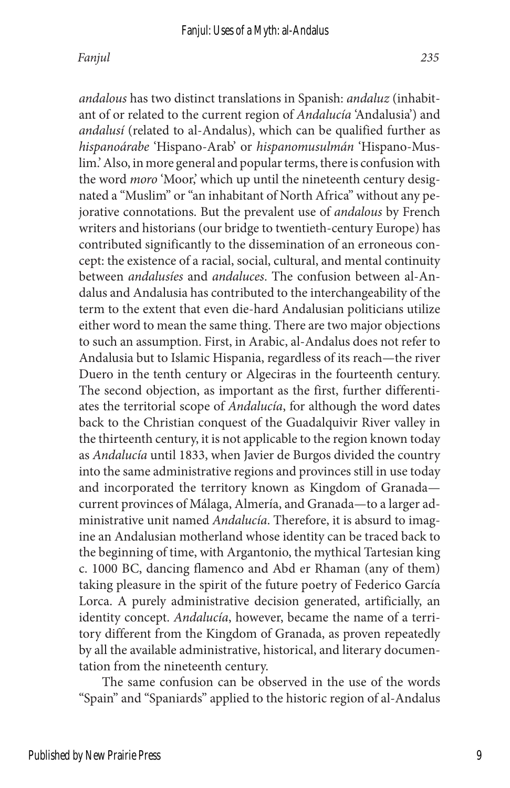*andalous* has two distinct translations in Spanish: *andaluz* (inhabitant of or related to the current region of *Andalucía* 'Andalusia') and *andalusí* (related to al-Andalus), which can be qualified further as *hispanoárabe* 'Hispano-Arab' or *hispanomusulmán* 'Hispano-Muslim.' Also, in more general and popular terms, there is confusion with the word *moro* 'Moor,' which up until the nineteenth century designated a "Muslim" or "an inhabitant of North Africa" without any pejorative connotations. But the prevalent use of *andalous* by French writers and historians (our bridge to twentieth-century Europe) has contributed significantly to the dissemination of an erroneous concept: the existence of a racial, social, cultural, and mental continuity between *andalusíes* and *andaluces*. The confusion between al-Andalus and Andalusia has contributed to the interchangeability of the term to the extent that even die-hard Andalusian politicians utilize either word to mean the same thing. There are two major objections to such an assumption. First, in Arabic, al-Andalus does not refer to Andalusia but to Islamic Hispania, regardless of its reach—the river Duero in the tenth century or Algeciras in the fourteenth century. The second objection, as important as the first, further differentiates the territorial scope of *Andalucía*, for although the word dates back to the Christian conquest of the Guadalquivir River valley in the thirteenth century, it is not applicable to the region known today as *Andalucía* until 1833, when Javier de Burgos divided the country into the same administrative regions and provinces still in use today and incorporated the territory known as Kingdom of Granada current provinces of Málaga, Almería, and Granada—to a larger administrative unit named *Andalucía*. Therefore, it is absurd to imagine an Andalusian motherland whose identity can be traced back to the beginning of time, with Argantonio, the mythical Tartesian king c. 1000 BC, dancing flamenco and Abd er Rhaman (any of them) taking pleasure in the spirit of the future poetry of Federico García Lorca. A purely administrative decision generated, artificially, an identity concept. *Andalucía*, however, became the name of a territory different from the Kingdom of Granada, as proven repeatedly by all the available administrative, historical, and literary documentation from the nineteenth century.

The same confusion can be observed in the use of the words "Spain" and "Spaniards" applied to the historic region of al-Andalus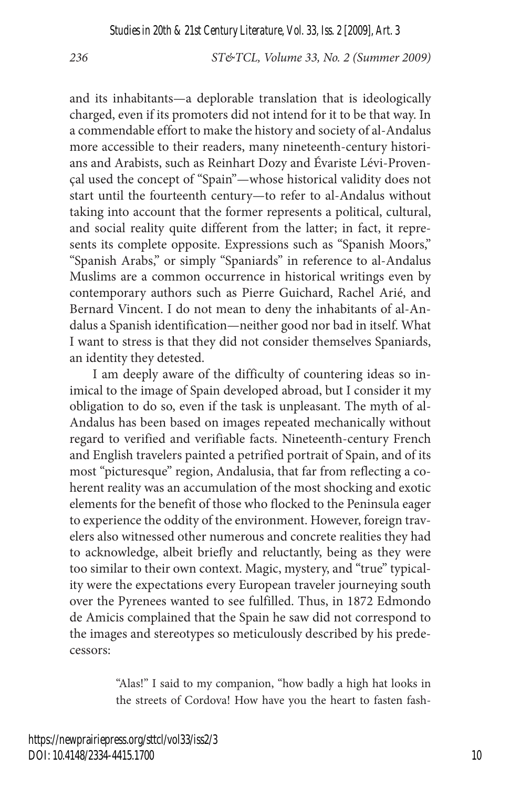and its inhabitants—a deplorable translation that is ideologically charged, even if its promoters did not intend for it to be that way. In a commendable effort to make the history and society of al-Andalus more accessible to their readers, many nineteenth-century historians and Arabists, such as Reinhart Dozy and Évariste Lévi-Provençal used the concept of "Spain"—whose historical validity does not start until the fourteenth century—to refer to al-Andalus without taking into account that the former represents a political, cultural, and social reality quite different from the latter; in fact, it represents its complete opposite. Expressions such as "Spanish Moors," "Spanish Arabs," or simply "Spaniards" in reference to al-Andalus Muslims are a common occurrence in historical writings even by contemporary authors such as Pierre Guichard, Rachel Arié, and Bernard Vincent. I do not mean to deny the inhabitants of al-Andalus a Spanish identification—neither good nor bad in itself. What I want to stress is that they did not consider themselves Spaniards, an identity they detested.

I am deeply aware of the difficulty of countering ideas so inimical to the image of Spain developed abroad, but I consider it my obligation to do so, even if the task is unpleasant. The myth of al-Andalus has been based on images repeated mechanically without regard to verified and verifiable facts. Nineteenth-century French and English travelers painted a petrified portrait of Spain, and of its most "picturesque" region, Andalusia, that far from reflecting a coherent reality was an accumulation of the most shocking and exotic elements for the benefit of those who flocked to the Peninsula eager to experience the oddity of the environment. However, foreign travelers also witnessed other numerous and concrete realities they had to acknowledge, albeit briefly and reluctantly, being as they were too similar to their own context. Magic, mystery, and "true" typicality were the expectations every European traveler journeying south over the Pyrenees wanted to see fulfilled. Thus, in 1872 Edmondo de Amicis complained that the Spain he saw did not correspond to the images and stereotypes so meticulously described by his predecessors:

> "Alas!" I said to my companion, "how badly a high hat looks in the streets of Cordova! How have you the heart to fasten fash-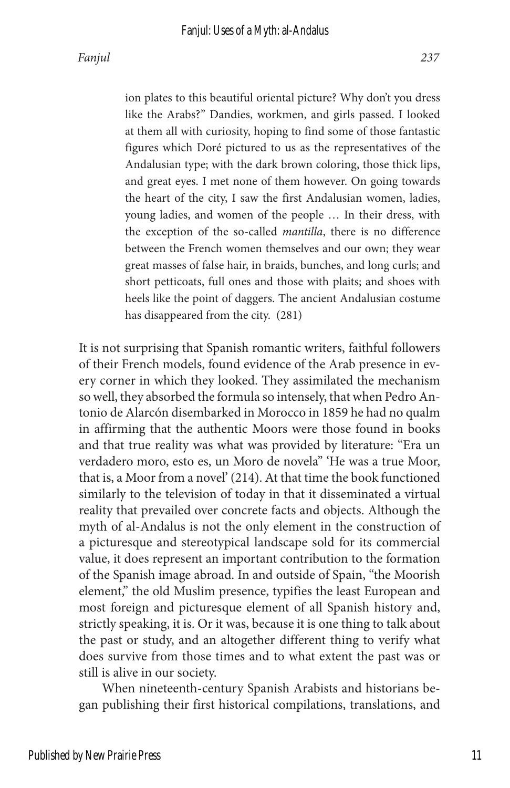ion plates to this beautiful oriental picture? Why don't you dress like the Arabs?" Dandies, workmen, and girls passed. I looked at them all with curiosity, hoping to find some of those fantastic figures which Doré pictured to us as the representatives of the Andalusian type; with the dark brown coloring, those thick lips, and great eyes. I met none of them however. On going towards the heart of the city, I saw the first Andalusian women, ladies, young ladies, and women of the people … In their dress, with the exception of the so-called *mantilla*, there is no difference between the French women themselves and our own; they wear great masses of false hair, in braids, bunches, and long curls; and short petticoats, full ones and those with plaits; and shoes with heels like the point of daggers. The ancient Andalusian costume has disappeared from the city. (281)

It is not surprising that Spanish romantic writers, faithful followers of their French models, found evidence of the Arab presence in every corner in which they looked. They assimilated the mechanism so well, they absorbed the formula so intensely, that when Pedro Antonio de Alarcón disembarked in Morocco in 1859 he had no qualm in affirming that the authentic Moors were those found in books and that true reality was what was provided by literature: "Era un verdadero moro, esto es, un Moro de novela" 'He was a true Moor, that is, a Moor from a novel' (214). At that time the book functioned similarly to the television of today in that it disseminated a virtual reality that prevailed over concrete facts and objects. Although the myth of al-Andalus is not the only element in the construction of a picturesque and stereotypical landscape sold for its commercial value, it does represent an important contribution to the formation of the Spanish image abroad. In and outside of Spain, "the Moorish element," the old Muslim presence, typifies the least European and most foreign and picturesque element of all Spanish history and, strictly speaking, it is. Or it was, because it is one thing to talk about the past or study, and an altogether different thing to verify what does survive from those times and to what extent the past was or still is alive in our society.

When nineteenth-century Spanish Arabists and historians began publishing their first historical compilations, translations, and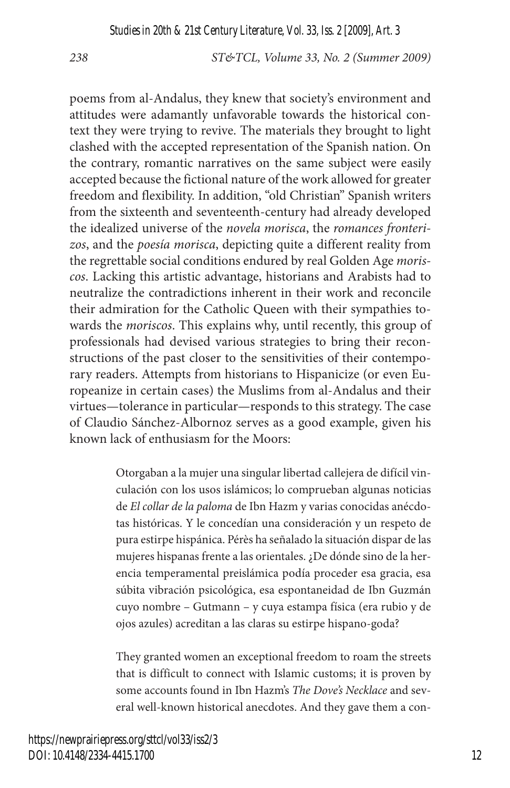poems from al-Andalus, they knew that society's environment and attitudes were adamantly unfavorable towards the historical context they were trying to revive. The materials they brought to light clashed with the accepted representation of the Spanish nation. On the contrary, romantic narratives on the same subject were easily accepted because the fictional nature of the work allowed for greater freedom and flexibility. In addition, "old Christian" Spanish writers from the sixteenth and seventeenth-century had already developed the idealized universe of the *novela morisca*, the *romances fronterizos*, and the *poesía morisca*, depicting quite a different reality from the regrettable social conditions endured by real Golden Age *moriscos*. Lacking this artistic advantage, historians and Arabists had to neutralize the contradictions inherent in their work and reconcile their admiration for the Catholic Queen with their sympathies towards the *moriscos*. This explains why, until recently, this group of professionals had devised various strategies to bring their reconstructions of the past closer to the sensitivities of their contemporary readers. Attempts from historians to Hispanicize (or even Europeanize in certain cases) the Muslims from al-Andalus and their virtues—tolerance in particular—responds to this strategy. The case of Claudio Sánchez-Albornoz serves as a good example, given his known lack of enthusiasm for the Moors:

> Otorgaban a la mujer una singular libertad callejera de difícil vinculación con los usos islámicos; lo comprueban algunas noticias de *El collar de la paloma* de Ibn Hazm y varias conocidas anécdotas históricas. Y le concedían una consideración y un respeto de pura estirpe hispánica. Pérès ha señalado la situación dispar de las mujeres hispanas frente a las orientales. ¿De dónde sino de la herencia temperamental preislámica podía proceder esa gracia, esa súbita vibración psicológica, esa espontaneidad de Ibn Guzmán cuyo nombre – Gutmann – y cuya estampa física (era rubio y de ojos azules) acreditan a las claras su estirpe hispano-goda?

> They granted women an exceptional freedom to roam the streets that is difficult to connect with Islamic customs; it is proven by some accounts found in Ibn Hazm's *The Dove's Necklace* and several well-known historical anecdotes. And they gave them a con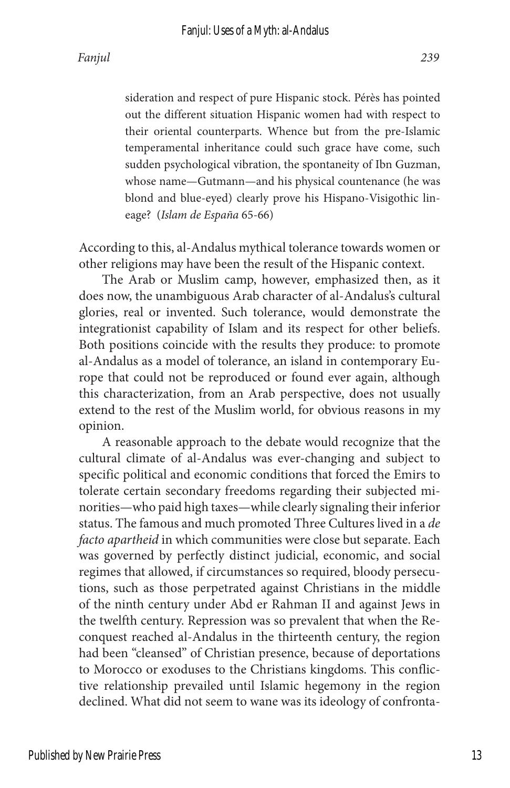sideration and respect of pure Hispanic stock. Pérès has pointed out the different situation Hispanic women had with respect to their oriental counterparts. Whence but from the pre-Islamic temperamental inheritance could such grace have come, such sudden psychological vibration, the spontaneity of Ibn Guzman, whose name—Gutmann—and his physical countenance (he was blond and blue-eyed) clearly prove his Hispano-Visigothic lineage? (*Islam de España* 65-66)

According to this, al-Andalus mythical tolerance towards women or other religions may have been the result of the Hispanic context.

The Arab or Muslim camp, however, emphasized then, as it does now, the unambiguous Arab character of al-Andalus's cultural glories, real or invented. Such tolerance, would demonstrate the integrationist capability of Islam and its respect for other beliefs. Both positions coincide with the results they produce: to promote al-Andalus as a model of tolerance, an island in contemporary Europe that could not be reproduced or found ever again, although this characterization, from an Arab perspective, does not usually extend to the rest of the Muslim world, for obvious reasons in my opinion.

A reasonable approach to the debate would recognize that the cultural climate of al-Andalus was ever-changing and subject to specific political and economic conditions that forced the Emirs to tolerate certain secondary freedoms regarding their subjected minorities—who paid high taxes—while clearly signaling their inferior status. The famous and much promoted Three Cultures lived in a *de facto apartheid* in which communities were close but separate. Each was governed by perfectly distinct judicial, economic, and social regimes that allowed, if circumstances so required, bloody persecutions, such as those perpetrated against Christians in the middle of the ninth century under Abd er Rahman II and against Jews in the twelfth century. Repression was so prevalent that when the Reconquest reached al-Andalus in the thirteenth century, the region had been "cleansed" of Christian presence, because of deportations to Morocco or exoduses to the Christians kingdoms. This conflictive relationship prevailed until Islamic hegemony in the region declined. What did not seem to wane was its ideology of confronta-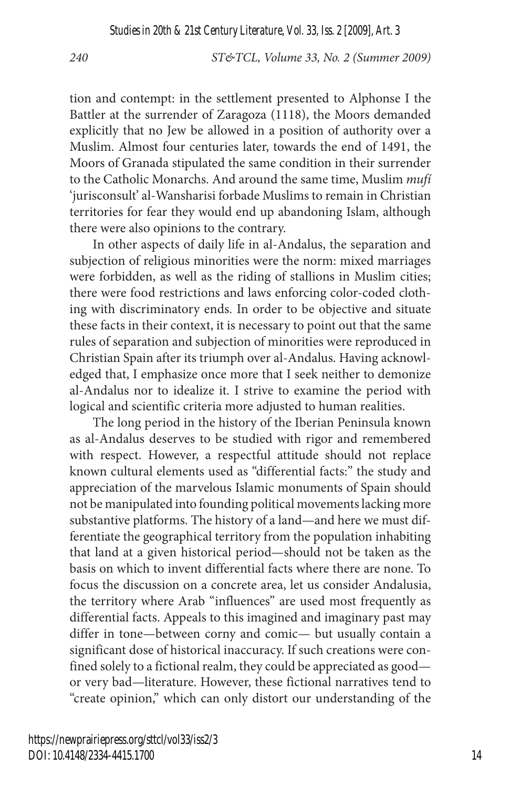tion and contempt: in the settlement presented to Alphonse I the Battler at the surrender of Zaragoza (1118), the Moors demanded explicitly that no Jew be allowed in a position of authority over a Muslim. Almost four centuries later, towards the end of 1491, the Moors of Granada stipulated the same condition in their surrender to the Catholic Monarchs. And around the same time, Muslim *mufí* 'jurisconsult' al-Wansharisi forbade Muslims to remain in Christian territories for fear they would end up abandoning Islam, although there were also opinions to the contrary.

In other aspects of daily life in al-Andalus, the separation and subjection of religious minorities were the norm: mixed marriages were forbidden, as well as the riding of stallions in Muslim cities; there were food restrictions and laws enforcing color-coded clothing with discriminatory ends. In order to be objective and situate these facts in their context, it is necessary to point out that the same rules of separation and subjection of minorities were reproduced in Christian Spain after its triumph over al-Andalus. Having acknowledged that, I emphasize once more that I seek neither to demonize al-Andalus nor to idealize it. I strive to examine the period with logical and scientific criteria more adjusted to human realities.

The long period in the history of the Iberian Peninsula known as al-Andalus deserves to be studied with rigor and remembered with respect. However, a respectful attitude should not replace known cultural elements used as "differential facts:" the study and appreciation of the marvelous Islamic monuments of Spain should not be manipulated into founding political movements lacking more substantive platforms. The history of a land—and here we must differentiate the geographical territory from the population inhabiting that land at a given historical period—should not be taken as the basis on which to invent differential facts where there are none. To focus the discussion on a concrete area, let us consider Andalusia, the territory where Arab "influences" are used most frequently as differential facts. Appeals to this imagined and imaginary past may differ in tone—between corny and comic— but usually contain a significant dose of historical inaccuracy. If such creations were confined solely to a fictional realm, they could be appreciated as good or very bad—literature. However, these fictional narratives tend to "create opinion," which can only distort our understanding of the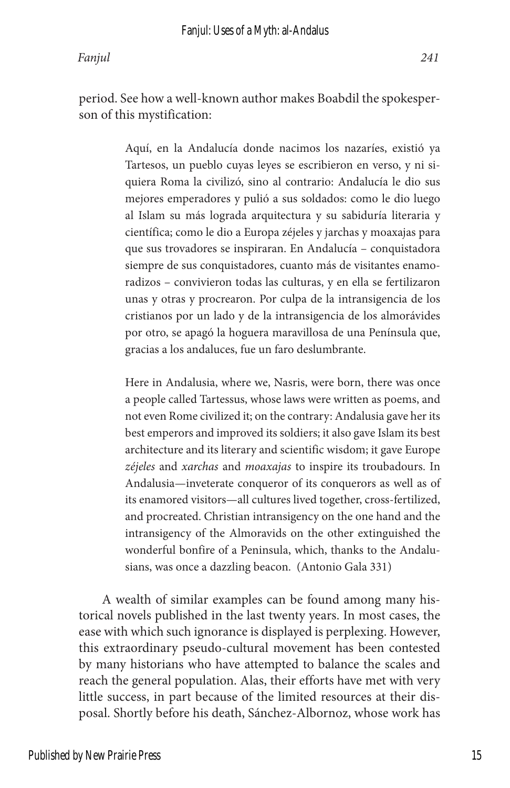period. See how a well-known author makes Boabdil the spokesperson of this mystification:

> Aquí, en la Andalucía donde nacimos los nazaríes, existió ya Tartesos, un pueblo cuyas leyes se escribieron en verso, y ni siquiera Roma la civilizó, sino al contrario: Andalucía le dio sus mejores emperadores y pulió a sus soldados: como le dio luego al Islam su más lograda arquitectura y su sabiduría literaria y científica; como le dio a Europa zéjeles y jarchas y moaxajas para que sus trovadores se inspiraran. En Andalucía – conquistadora siempre de sus conquistadores, cuanto más de visitantes enamoradizos – convivieron todas las culturas, y en ella se fertilizaron unas y otras y procrearon. Por culpa de la intransigencia de los cristianos por un lado y de la intransigencia de los almorávides por otro, se apagó la hoguera maravillosa de una Península que, gracias a los andaluces, fue un faro deslumbrante.

> Here in Andalusia, where we, Nasris, were born, there was once a people called Tartessus, whose laws were written as poems, and not even Rome civilized it; on the contrary: Andalusia gave her its best emperors and improved its soldiers; it also gave Islam its best architecture and its literary and scientific wisdom; it gave Europe *zéjeles* and *xarchas* and *moaxajas* to inspire its troubadours. In Andalusia—inveterate conqueror of its conquerors as well as of its enamored visitors—all cultures lived together, cross-fertilized, and procreated. Christian intransigency on the one hand and the intransigency of the Almoravids on the other extinguished the wonderful bonfire of a Peninsula, which, thanks to the Andalusians, was once a dazzling beacon. (Antonio Gala 331)

A wealth of similar examples can be found among many historical novels published in the last twenty years. In most cases, the ease with which such ignorance is displayed is perplexing. However, this extraordinary pseudo-cultural movement has been contested by many historians who have attempted to balance the scales and reach the general population. Alas, their efforts have met with very little success, in part because of the limited resources at their disposal. Shortly before his death, Sánchez-Albornoz, whose work has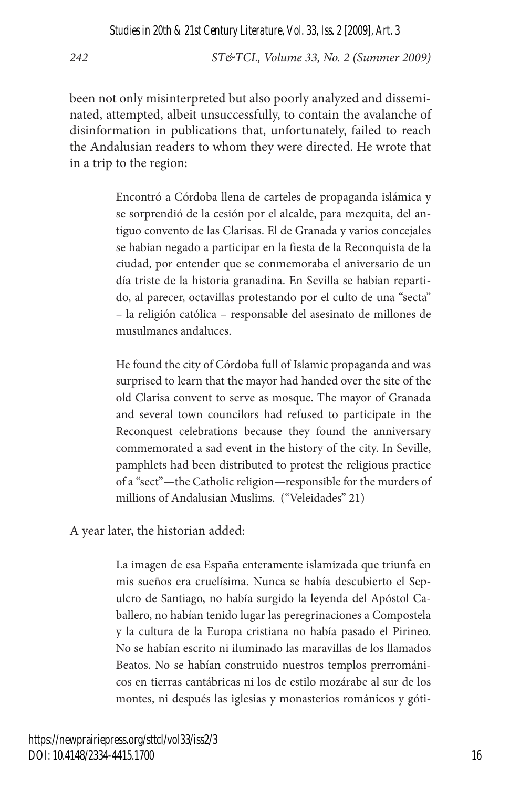been not only misinterpreted but also poorly analyzed and disseminated, attempted, albeit unsuccessfully, to contain the avalanche of disinformation in publications that, unfortunately, failed to reach the Andalusian readers to whom they were directed. He wrote that in a trip to the region:

> Encontró a Córdoba llena de carteles de propaganda islámica y se sorprendió de la cesión por el alcalde, para mezquita, del antiguo convento de las Clarisas. El de Granada y varios concejales se habían negado a participar en la fiesta de la Reconquista de la ciudad, por entender que se conmemoraba el aniversario de un día triste de la historia granadina. En Sevilla se habían repartido, al parecer, octavillas protestando por el culto de una "secta" – la religión católica – responsable del asesinato de millones de musulmanes andaluces.

> He found the city of Córdoba full of Islamic propaganda and was surprised to learn that the mayor had handed over the site of the old Clarisa convent to serve as mosque. The mayor of Granada and several town councilors had refused to participate in the Reconquest celebrations because they found the anniversary commemorated a sad event in the history of the city. In Seville, pamphlets had been distributed to protest the religious practice of a "sect"—the Catholic religion—responsible for the murders of millions of Andalusian Muslims. ("Veleidades" 21)

A year later, the historian added:

La imagen de esa España enteramente islamizada que triunfa en mis sueños era cruelísima. Nunca se había descubierto el Sepulcro de Santiago, no había surgido la leyenda del Apóstol Caballero, no habían tenido lugar las peregrinaciones a Compostela y la cultura de la Europa cristiana no había pasado el Pirineo. No se habían escrito ni iluminado las maravillas de los llamados Beatos. No se habían construido nuestros templos prerrománicos en tierras cantábricas ni los de estilo mozárabe al sur de los montes, ni después las iglesias y monasterios románicos y góti-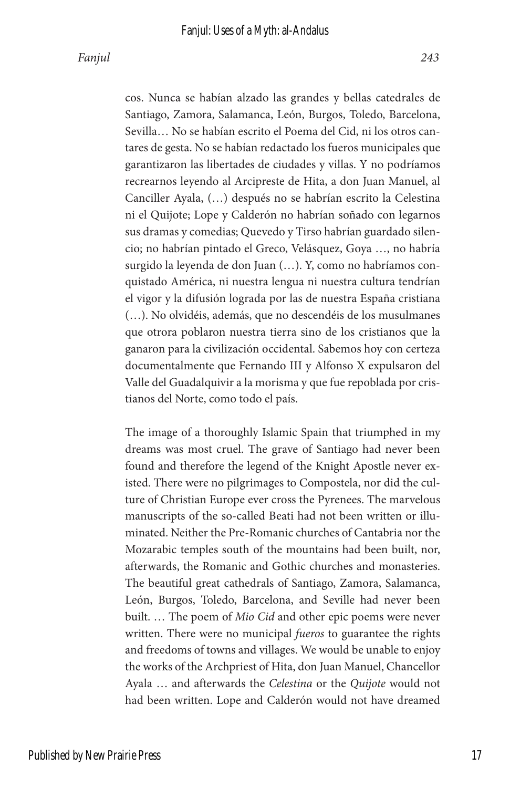cos. Nunca se habían alzado las grandes y bellas catedrales de Santiago, Zamora, Salamanca, León, Burgos, Toledo, Barcelona, Sevilla… No se habían escrito el Poema del Cid, ni los otros cantares de gesta. No se habían redactado los fueros municipales que garantizaron las libertades de ciudades y villas. Y no podríamos recrearnos leyendo al Arcipreste de Hita, a don Juan Manuel, al Canciller Ayala, (…) después no se habrían escrito la Celestina ni el Quijote; Lope y Calderón no habrían soñado con legarnos sus dramas y comedias; Quevedo y Tirso habrían guardado silencio; no habrían pintado el Greco, Velásquez, Goya …, no habría surgido la leyenda de don Juan (…). Y, como no habríamos conquistado América, ni nuestra lengua ni nuestra cultura tendrían el vigor y la difusión lograda por las de nuestra España cristiana (…). No olvidéis, además, que no descendéis de los musulmanes que otrora poblaron nuestra tierra sino de los cristianos que la ganaron para la civilización occidental. Sabemos hoy con certeza documentalmente que Fernando III y Alfonso X expulsaron del Valle del Guadalquivir a la morisma y que fue repoblada por cristianos del Norte, como todo el país.

The image of a thoroughly Islamic Spain that triumphed in my dreams was most cruel. The grave of Santiago had never been found and therefore the legend of the Knight Apostle never existed. There were no pilgrimages to Compostela, nor did the culture of Christian Europe ever cross the Pyrenees. The marvelous manuscripts of the so-called Beati had not been written or illuminated. Neither the Pre-Romanic churches of Cantabria nor the Mozarabic temples south of the mountains had been built, nor, afterwards, the Romanic and Gothic churches and monasteries. The beautiful great cathedrals of Santiago, Zamora, Salamanca, León, Burgos, Toledo, Barcelona, and Seville had never been built. … The poem of *Mio Cid* and other epic poems were never written. There were no municipal *fueros* to guarantee the rights and freedoms of towns and villages. We would be unable to enjoy the works of the Archpriest of Hita, don Juan Manuel, Chancellor Ayala … and afterwards the *Celestina* or the *Quijote* would not had been written. Lope and Calderón would not have dreamed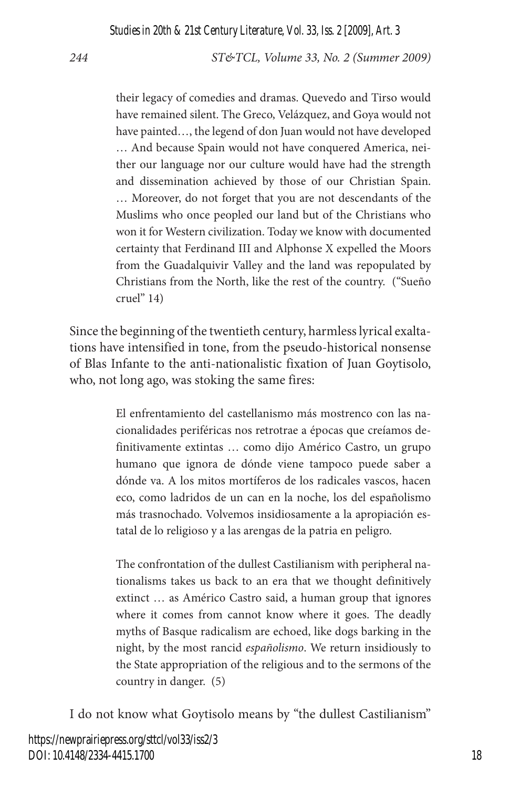their legacy of comedies and dramas. Quevedo and Tirso would have remained silent. The Greco, Velázquez, and Goya would not have painted…, the legend of don Juan would not have developed … And because Spain would not have conquered America, neither our language nor our culture would have had the strength and dissemination achieved by those of our Christian Spain. … Moreover, do not forget that you are not descendants of the Muslims who once peopled our land but of the Christians who won it for Western civilization. Today we know with documented certainty that Ferdinand III and Alphonse X expelled the Moors from the Guadalquivir Valley and the land was repopulated by Christians from the North, like the rest of the country. ("Sueño cruel" 14)

Since the beginning of the twentieth century, harmless lyrical exaltations have intensified in tone, from the pseudo-historical nonsense of Blas Infante to the anti-nationalistic fixation of Juan Goytisolo, who, not long ago, was stoking the same fires:

> El enfrentamiento del castellanismo más mostrenco con las nacionalidades periféricas nos retrotrae a épocas que creíamos definitivamente extintas … como dijo Américo Castro, un grupo humano que ignora de dónde viene tampoco puede saber a dónde va. A los mitos mortíferos de los radicales vascos, hacen eco, como ladridos de un can en la noche, los del españolismo más trasnochado. Volvemos insidiosamente a la apropiación estatal de lo religioso y a las arengas de la patria en peligro.

> The confrontation of the dullest Castilianism with peripheral nationalisms takes us back to an era that we thought definitively extinct … as Américo Castro said, a human group that ignores where it comes from cannot know where it goes. The deadly myths of Basque radicalism are echoed, like dogs barking in the night, by the most rancid *españolismo*. We return insidiously to the State appropriation of the religious and to the sermons of the country in danger. (5)

I do not know what Goytisolo means by "the dullest Castilianism"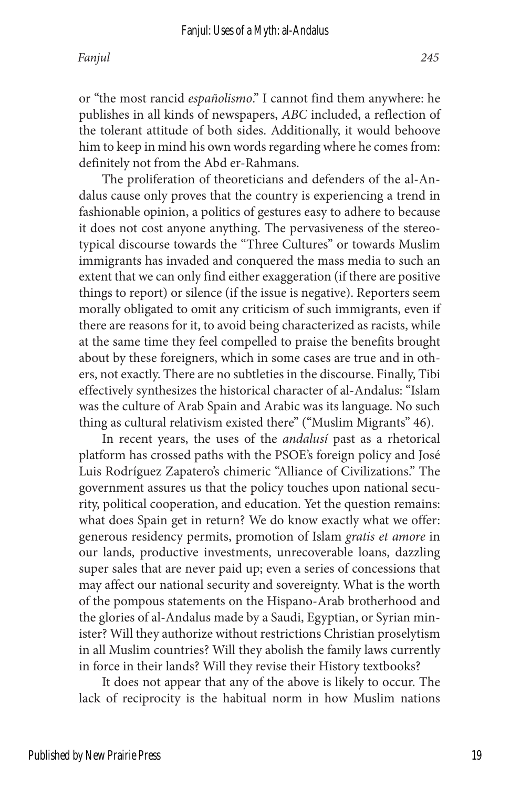or "the most rancid *españolismo*." I cannot find them anywhere: he publishes in all kinds of newspapers, *ABC* included, a reflection of the tolerant attitude of both sides. Additionally, it would behoove him to keep in mind his own words regarding where he comes from: definitely not from the Abd er-Rahmans.

The proliferation of theoreticians and defenders of the al-Andalus cause only proves that the country is experiencing a trend in fashionable opinion, a politics of gestures easy to adhere to because it does not cost anyone anything. The pervasiveness of the stereotypical discourse towards the "Three Cultures" or towards Muslim immigrants has invaded and conquered the mass media to such an extent that we can only find either exaggeration (if there are positive things to report) or silence (if the issue is negative). Reporters seem morally obligated to omit any criticism of such immigrants, even if there are reasons for it, to avoid being characterized as racists, while at the same time they feel compelled to praise the benefits brought about by these foreigners, which in some cases are true and in others, not exactly. There are no subtleties in the discourse. Finally, Tibi effectively synthesizes the historical character of al-Andalus: "Islam was the culture of Arab Spain and Arabic was its language. No such thing as cultural relativism existed there" ("Muslim Migrants" 46).

In recent years, the uses of the *andalusí* past as a rhetorical platform has crossed paths with the PSOE's foreign policy and José Luis Rodríguez Zapatero's chimeric "Alliance of Civilizations." The government assures us that the policy touches upon national security, political cooperation, and education. Yet the question remains: what does Spain get in return? We do know exactly what we offer: generous residency permits, promotion of Islam *gratis et amore* in our lands, productive investments, unrecoverable loans, dazzling super sales that are never paid up; even a series of concessions that may affect our national security and sovereignty. What is the worth of the pompous statements on the Hispano-Arab brotherhood and the glories of al-Andalus made by a Saudi, Egyptian, or Syrian minister? Will they authorize without restrictions Christian proselytism in all Muslim countries? Will they abolish the family laws currently in force in their lands? Will they revise their History textbooks?

It does not appear that any of the above is likely to occur. The lack of reciprocity is the habitual norm in how Muslim nations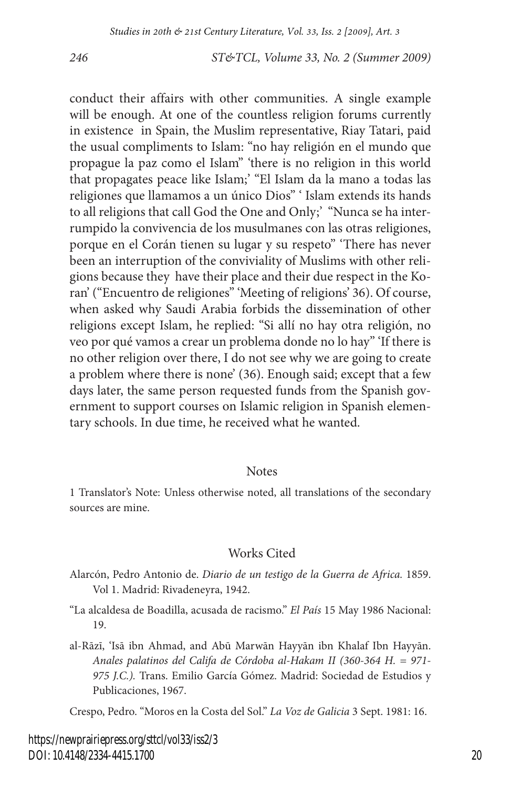conduct their affairs with other communities. A single example will be enough. At one of the countless religion forums currently in existence in Spain, the Muslim representative, Riay Tatari, paid the usual compliments to Islam: "no hay religión en el mundo que propague la paz como el Islam" 'there is no religion in this world that propagates peace like Islam;' "El Islam da la mano a todas las religiones que llamamos a un único Dios" ' Islam extends its hands to all religions that call God the One and Only;' "Nunca se ha interrumpido la convivencia de los musulmanes con las otras religiones, porque en el Corán tienen su lugar y su respeto" 'There has never been an interruption of the conviviality of Muslims with other religions because they have their place and their due respect in the Koran' ("Encuentro de religiones" 'Meeting of religions' 36). Of course, when asked why Saudi Arabia forbids the dissemination of other religions except Islam, he replied: "Si allí no hay otra religión, no veo por qué vamos a crear un problema donde no lo hay" 'If there is no other religion over there, I do not see why we are going to create a problem where there is none' (36). Enough said; except that a few days later, the same person requested funds from the Spanish government to support courses on Islamic religion in Spanish elementary schools. In due time, he received what he wanted.

#### Notes

1 Translator's Note: Unless otherwise noted, all translations of the secondary sources are mine.

#### Works Cited

- Alarcón, Pedro Antonio de. *Diario de un testigo de la Guerra de Africa.* 1859. Vol 1. Madrid: Rivadeneyra, 1942.
- "La alcaldesa de Boadilla, acusada de racismo." *El País* 15 May 1986 Nacional: 19.
- al-Rāzī, 'Isā ibn Ahmad, and Abū Marwān Hayyān ibn Khalaf Ibn Hayyān. *Anales palatinos del Califa de Córdoba al-Hakam II (360-364 H. = 971- 975 J.C.).* Trans. Emilio García Gómez. Madrid: Sociedad de Estudios y Publicaciones, 1967.

Crespo, Pedro. "Moros en la Costa del Sol." *La Voz de Galicia* 3 Sept. 1981: 16.

https://newprairiepress.org/sttcl/vol33/iss2/3 DOI: 10.4148/2334-4415.1700